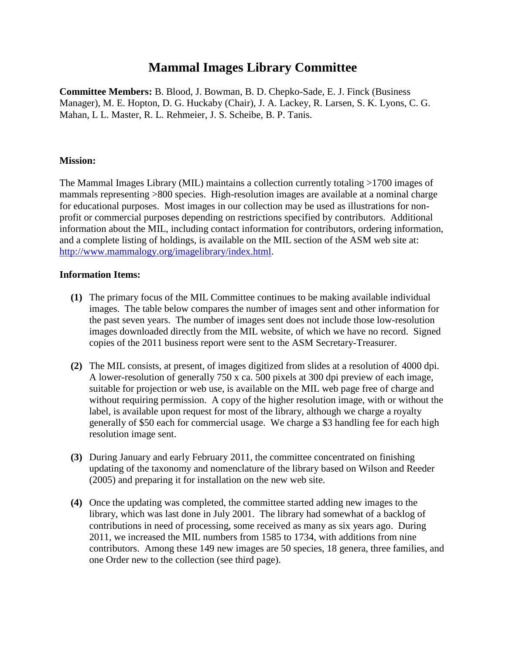# **Mammal Images Library Committee**

**Committee Members:** B. Blood, J. Bowman, B. D. Chepko-Sade, E. J. Finck (Business Manager), M. E. Hopton, D. G. Huckaby (Chair), J. A. Lackey, R. Larsen, S. K. Lyons, C. G. Mahan, L L. Master, R. L. Rehmeier, J. S. Scheibe, B. P. Tanis.

#### **Mission:**

The Mammal Images Library (MIL) maintains a collection currently totaling >1700 images of mammals representing >800 species. High-resolution images are available at a nominal charge for educational purposes. Most images in our collection may be used as illustrations for nonprofit or commercial purposes depending on restrictions specified by contributors. Additional information about the MIL, including contact information for contributors, ordering information, and a complete listing of holdings, is available on the MIL section of the ASM web site at: [http://www.mammalogy.org/imagelibrary/index.html.](http://www.mammalogy.org/imagelibrary/index.html)

#### **Information Items:**

- **(1)** The primary focus of the MIL Committee continues to be making available individual images. The table below compares the number of images sent and other information for the past seven years. The number of images sent does not include those low-resolution images downloaded directly from the MIL website, of which we have no record. Signed copies of the 2011 business report were sent to the ASM Secretary-Treasurer.
- **(2)** The MIL consists, at present, of images digitized from slides at a resolution of 4000 dpi. A lower-resolution of generally 750 x ca. 500 pixels at 300 dpi preview of each image, suitable for projection or web use, is available on the MIL web page free of charge and without requiring permission. A copy of the higher resolution image, with or without the label, is available upon request for most of the library, although we charge a royalty generally of \$50 each for commercial usage. We charge a \$3 handling fee for each high resolution image sent.
- **(3)** During January and early February 2011, the committee concentrated on finishing updating of the taxonomy and nomenclature of the library based on Wilson and Reeder (2005) and preparing it for installation on the new web site.
- **(4)** Once the updating was completed, the committee started adding new images to the library, which was last done in July 2001. The library had somewhat of a backlog of contributions in need of processing, some received as many as six years ago. During 2011, we increased the MIL numbers from 1585 to 1734, with additions from nine contributors. Among these 149 new images are 50 species, 18 genera, three families, and one Order new to the collection (see third page).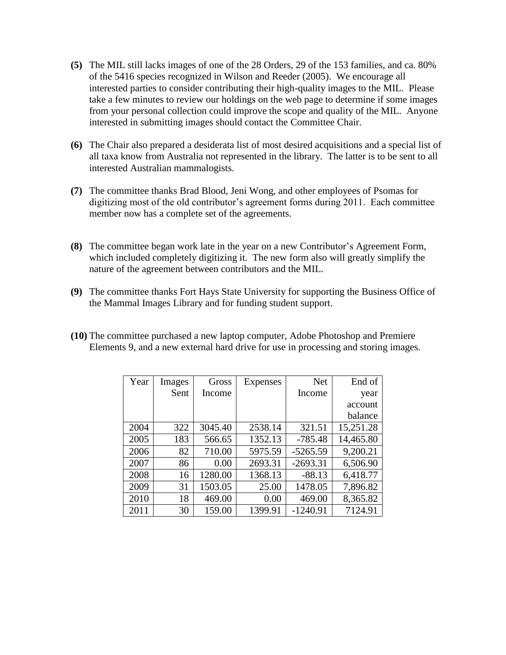- **(5)** The MIL still lacks images of one of the 28 Orders, 29 of the 153 families, and ca. 80% of the 5416 species recognized in Wilson and Reeder (2005). We encourage all interested parties to consider contributing their high-quality images to the MIL. Please take a few minutes to review our holdings on the web page to determine if some images from your personal collection could improve the scope and quality of the MIL. Anyone interested in submitting images should contact the Committee Chair.
- **(6)** The Chair also prepared a desiderata list of most desired acquisitions and a special list of all taxa know from Australia not represented in the library. The latter is to be sent to all interested Australian mammalogists.
- **(7)** The committee thanks Brad Blood, Jeni Wong, and other employees of Psomas for digitizing most of the old contributor's agreement forms during 2011. Each committee member now has a complete set of the agreements.
- **(8)** The committee began work late in the year on a new Contributor's Agreement Form, which included completely digitizing it. The new form also will greatly simplify the nature of the agreement between contributors and the MIL.
- **(9)** The committee thanks Fort Hays State University for supporting the Business Office of the Mammal Images Library and for funding student support.
- **(10)** The committee purchased a new laptop computer, Adobe Photoshop and Premiere Elements 9, and a new external hard drive for use in processing and storing images.

| Year | Images | Gross   | Expenses | <b>Net</b> | End of    |
|------|--------|---------|----------|------------|-----------|
|      | Sent   | Income  |          | Income     | year      |
|      |        |         |          |            | account   |
|      |        |         |          |            | balance   |
| 2004 | 322    | 3045.40 | 2538.14  | 321.51     | 15,251.28 |
| 2005 | 183    | 566.65  | 1352.13  | $-785.48$  | 14,465.80 |
| 2006 | 82     | 710.00  | 5975.59  | $-5265.59$ | 9,200.21  |
| 2007 | 86     | 0.00    | 2693.31  | $-2693.31$ | 6,506.90  |
| 2008 | 16     | 1280.00 | 1368.13  | $-88.13$   | 6,418.77  |
| 2009 | 31     | 1503.05 | 25.00    | 1478.05    | 7,896.82  |
| 2010 | 18     | 469.00  | 0.00     | 469.00     | 8,365.82  |
| 2011 | 30     | 159.00  | 1399.91  | $-1240.91$ | 7124.91   |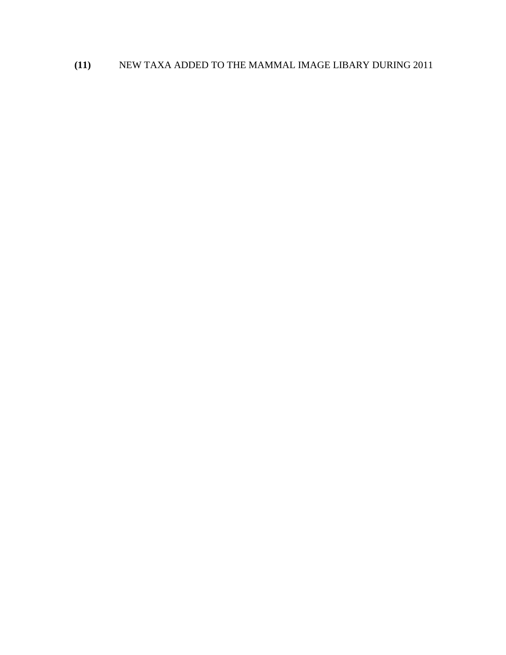## **(11)** NEW TAXA ADDED TO THE MAMMAL IMAGE LIBARY DURING 2011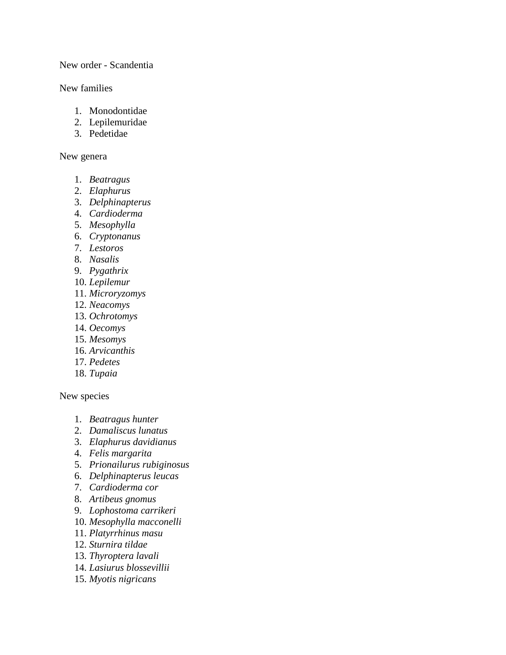#### New order - Scandentia

#### New families

- 1. Monodontidae
- 2. Lepilemuridae
- 3. Pedetidae

### New genera

- 1. *Beatragus*
- 2. *Elaphurus*
- 3. *Delphinapterus*
- 4. *Cardioderma*
- 5. *Mesophylla*
- 6. *Cryptonanus*
- 7. *Lestoros*
- 8. *Nasalis*
- 9. *Pygathrix*
- 10. *Lepilemur*
- 11. *Microryzomys*
- 12. *Neacomys*
- 13. *Ochrotomys*
- 14. *Oecomys*
- 15. *Mesomys*
- 16. *Arvicanthis*
- 17. *Pedetes*
- 18. *Tupaia*

New species

- 1. *Beatragus hunter*
- 2. *Damaliscus lunatus*
- 3. *Elaphurus davidianus*
- 4. *Felis margarita*
- 5. *Prionailurus rubiginosus*
- 6. *Delphinapterus leucas*
- 7. *Cardioderma cor*
- 8. *Artibeus gnomus*
- 9. *Lophostoma carrikeri*
- 10. *Mesophylla macconelli*
- 11. *Platyrrhinus masu*
- 12. *Sturnira tildae*
- 13. *Thyroptera lavali*
- 14. *Lasiurus blossevillii*
- 15. *Myotis nigricans*